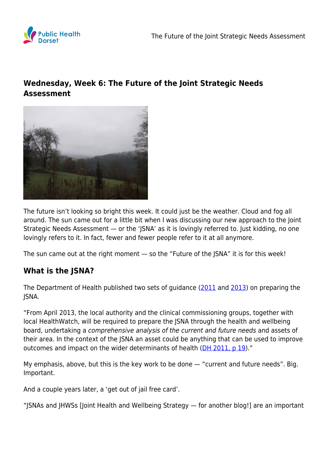

# **Wednesday, Week 6: The Future of the Joint Strategic Needs Assessment**



The future isn't looking so bright this week. It could just be the weather. Cloud and fog all around. The sun came out for a little bit when I was discussing our new approach to the Joint Strategic Needs Assessment — or the 'JSNA' as it is lovingly referred to. Just kidding, no one lovingly refers to it. In fact, fewer and fewer people refer to it at all anymore.

The sun came out at the right moment — so the "Future of the JSNA" it is for this week!

## **What is the JSNA?**

The Department of Health published two sets of guidance [\(2011](https://assets.publishing.service.gov.uk/government/uploads/system/uploads/attachment_data/file/215261/dh_131733.pdf) and [2013](https://assets.publishing.service.gov.uk/government/uploads/system/uploads/attachment_data/file/277012/Statutory-Guidance-on-Joint-Strategic-Needs-Assessments-and-Joint-Health-and-Wellbeing-Strategies-March-20131.pdf)) on preparing the JSNA.

"From April 2013, the local authority and the clinical commissioning groups, together with local HealthWatch, will be required to prepare the JSNA through the health and wellbeing board, undertaking a comprehensive analysis of the current and future needs and assets of their area. In the context of the JSNA an asset could be anything that can be used to improve outcomes and impact on the wider determinants of health [\(DH 2011, p 19](https://assets.publishing.service.gov.uk/government/uploads/system/uploads/attachment_data/file/215261/dh_131733.pdf))."

My emphasis, above, but this is the key work to be done — "current and future needs". Big. Important.

And a couple years later, a 'get out of jail free card'.

"JSNAs and JHWSs [Joint Health and Wellbeing Strategy — for another blog!] are an important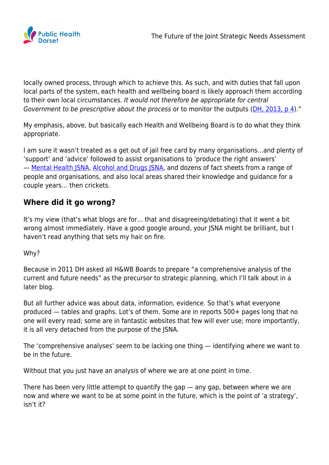

locally owned process, through which to achieve this. As such, and with duties that fall upon local parts of the system, each health and wellbeing board is likely approach them according to their own local circumstances. It would not therefore be appropriate for central Government to be prescriptive about the process or to monitor the outputs [\(DH, 2013, p 4](https://assets.publishing.service.gov.uk/government/uploads/system/uploads/attachment_data/file/277012/Statutory-Guidance-on-Joint-Strategic-Needs-Assessments-and-Joint-Health-and-Wellbeing-Strategies-March-20131.pdf))."

My emphasis, above, but basically each Health and Wellbeing Board is to do what they think appropriate.

I am sure it wasn't treated as a get out of jail free card by many organisations…and plenty of 'support' and 'advice' followed to assist organisations to 'produce the right answers' - [Mental Health JSNA](https://fingertips.phe.org.uk/profile-group/mental-health/profile/mh-jsna), [Alcohol and Drugs JSNA,](https://www.gov.uk/government/news/alcohol-drugs-and-tobacco-joint-strategic-needs-assessment-support-pack) and dozens of fact sheets from a range of people and organisations, and also local areas shared their knowledge and guidance for a couple years… then crickets.

### **Where did it go wrong?**

It's my view (that's what blogs are for… that and disagreeing/debating) that it went a bit wrong almost immediately. Have a good google around, your JSNA might be brilliant, but I haven't read anything that sets my hair on fire.

### Why?

Because in 2011 DH asked all H&WB Boards to prepare "a comprehensive analysis of the current and future needs" as the precursor to strategic planning, which I'll talk about in a later blog.

But all further advice was about data, information, evidence. So that's what everyone produced — tables and graphs. Lot's of them. Some are in reports 500+ pages long that no one will every read; some are in fantastic websites that few will ever use; more importantly, it is all very detached from the purpose of the JSNA.

The 'comprehensive analyses' seem to be lacking one thing — identifying where we want to be in the future.

Without that you just have an analysis of where we are at one point in time.

There has been very little attempt to quantify the gap — any gap, between where we are now and where we want to be at some point in the future, which is the point of 'a strategy', isn't it?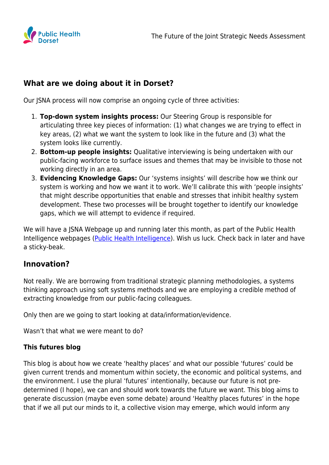

### **What are we doing about it in Dorset?**

Our JSNA process will now comprise an ongoing cycle of three activities:

- 1. **Top-down system insights process:** Our Steering Group is responsible for articulating three key pieces of information: (1) what changes we are trying to effect in key areas, (2) what we want the system to look like in the future and (3) what the system looks like currently.
- 2. **Bottom-up people insights:** Qualitative interviewing is being undertaken with our public-facing workforce to surface issues and themes that may be invisible to those not working directly in an area.
- 3. **Evidencing Knowledge Gaps:** Our 'systems insights' will describe how we think our system is working and how we want it to work. We'll calibrate this with 'people insights' that might describe opportunities that enable and stresses that inhibit healthy system development. These two processes will be brought together to identify our knowledge gaps, which we will attempt to evidence if required.

We will have a JSNA Webpage up and running later this month, as part of the Public Health Intelligence webpages [\(Public Health Intelligence\)](https://www.publichealthdorset.org.uk/intelligence). Wish us luck. Check back in later and have a sticky-beak.

### **Innovation?**

Not really. We are borrowing from traditional strategic planning methodologies, a systems thinking approach using soft systems methods and we are employing a credible method of extracting knowledge from our public-facing colleagues.

Only then are we going to start looking at data/information/evidence.

Wasn't that what we were meant to do?

#### **This futures blog**

This blog is about how we create 'healthy places' and what our possible 'futures' could be given current trends and momentum within society, the economic and political systems, and the environment. I use the plural 'futures' intentionally, because our future is not predetermined (I hope), we can and should work towards the future we want. This blog aims to generate discussion (maybe even some debate) around 'Healthy places futures' in the hope that if we all put our minds to it, a collective vision may emerge, which would inform any